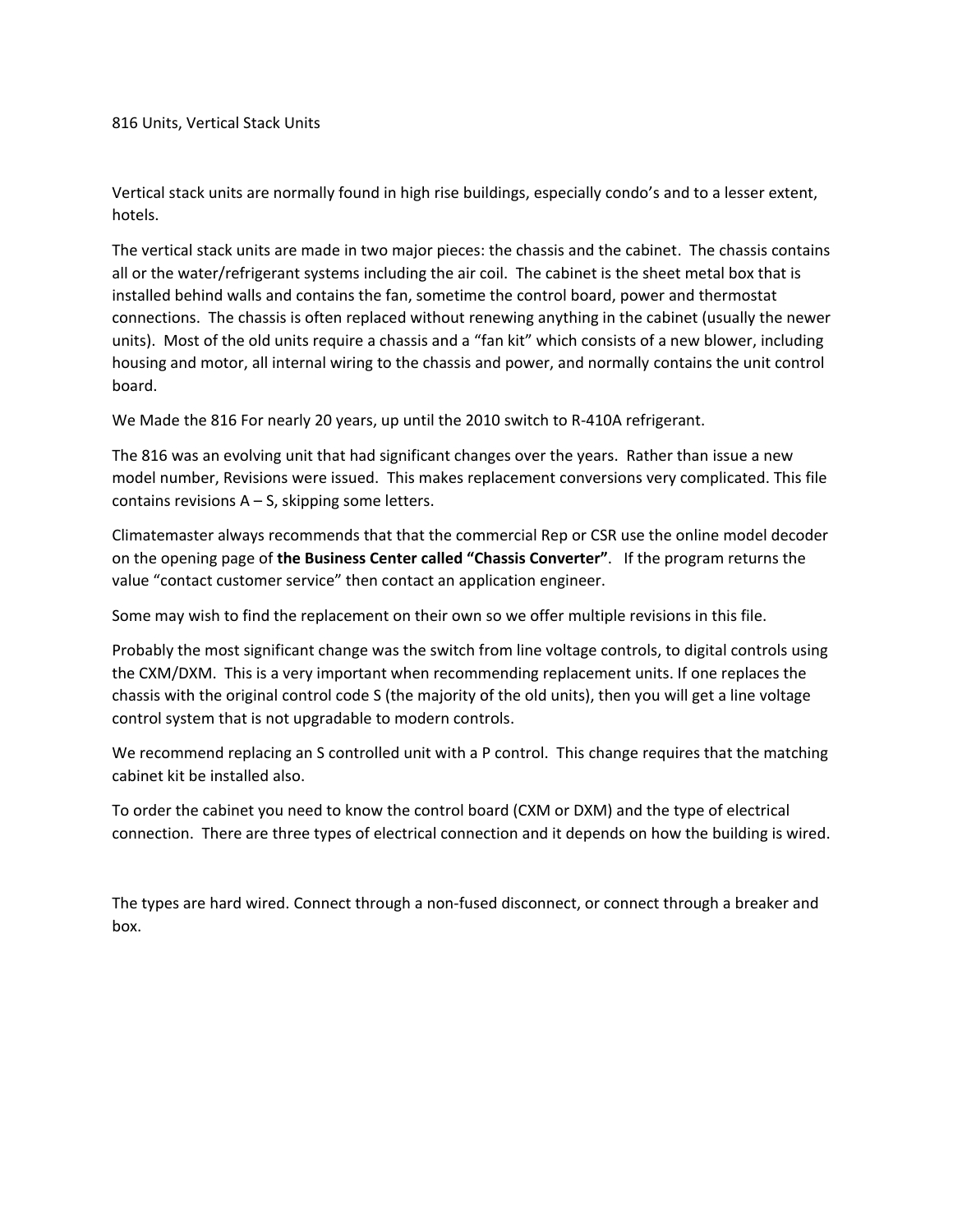816 Units, Vertical Stack Units

Vertical stack units are normally found in high rise buildings, especially condo's and to a lesser extent, hotels.

The vertical stack units are made in two major pieces: the chassis and the cabinet. The chassis contains all or the water/refrigerant systems including the air coil. The cabinet is the sheet metal box that is installed behind walls and contains the fan, sometime the control board, power and thermostat connections. The chassis is often replaced without renewing anything in the cabinet (usually the newer units). Most of the old units require a chassis and a "fan kit" which consists of a new blower, including housing and motor, all internal wiring to the chassis and power, and normally contains the unit control board.

We Made the 816 For nearly 20 years, up until the 2010 switch to R-410A refrigerant.

The 816 was an evolving unit that had significant changes over the years. Rather than issue a new model number, Revisions were issued. This makes replacement conversions very complicated. This file contains revisions  $A - S$ , skipping some letters.

Climatemaster always recommends that that the commercial Rep or CSR use the online model decoder on the opening page of **the Business Center called "Chassis Converter"**. If the program returns the value "contact customer service" then contact an application engineer.

Some may wish to find the replacement on their own so we offer multiple revisions in this file.

Probably the most significant change was the switch from line voltage controls, to digital controls using the CXM/DXM. This is a very important when recommending replacement units. If one replaces the chassis with the original control code S (the majority of the old units), then you will get a line voltage control system that is not upgradable to modern controls.

We recommend replacing an S controlled unit with a P control. This change requires that the matching cabinet kit be installed also.

To order the cabinet you need to know the control board (CXM or DXM) and the type of electrical connection. There are three types of electrical connection and it depends on how the building is wired.

The types are hard wired. Connect through a non-fused disconnect, or connect through a breaker and box.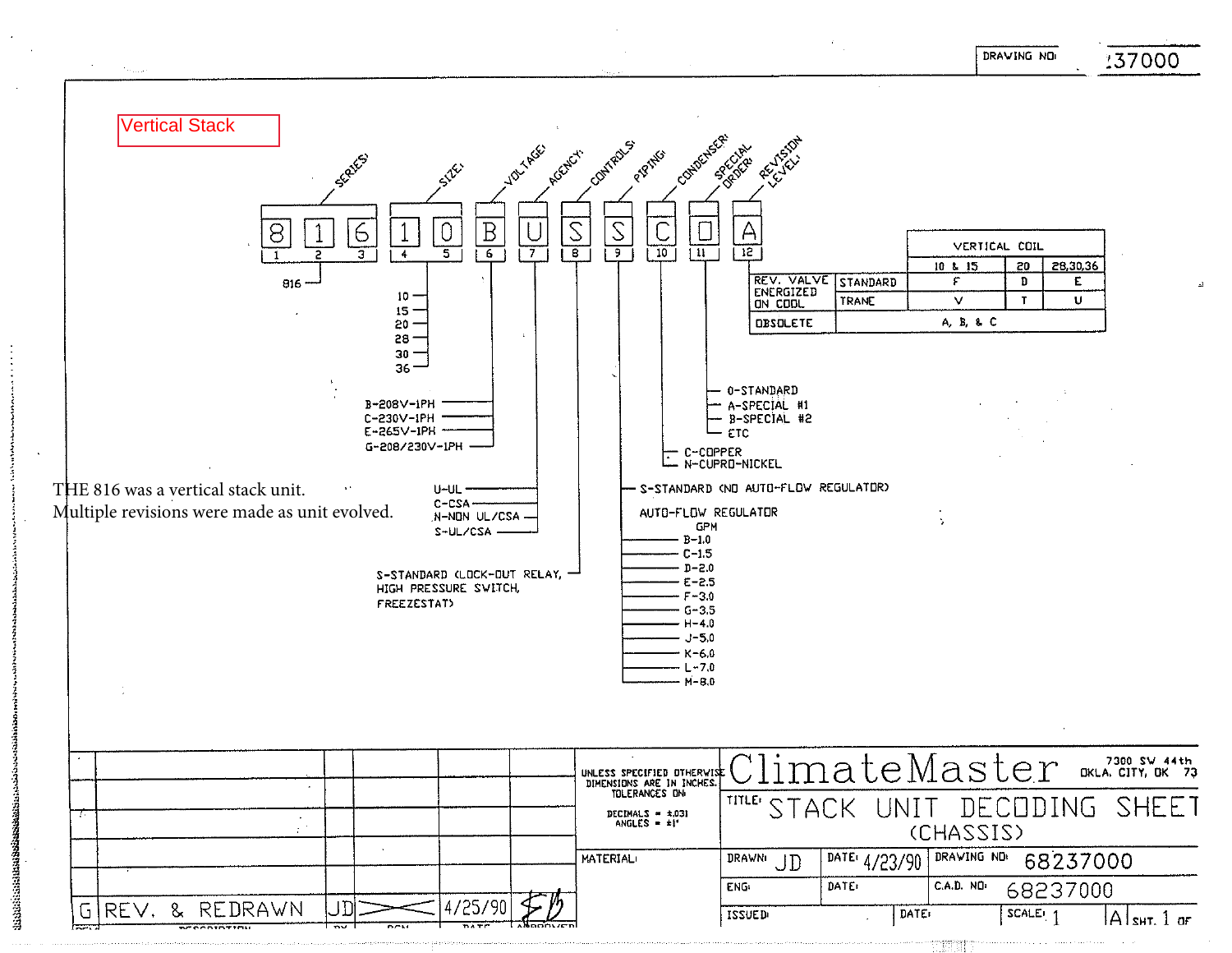DRAVING NO



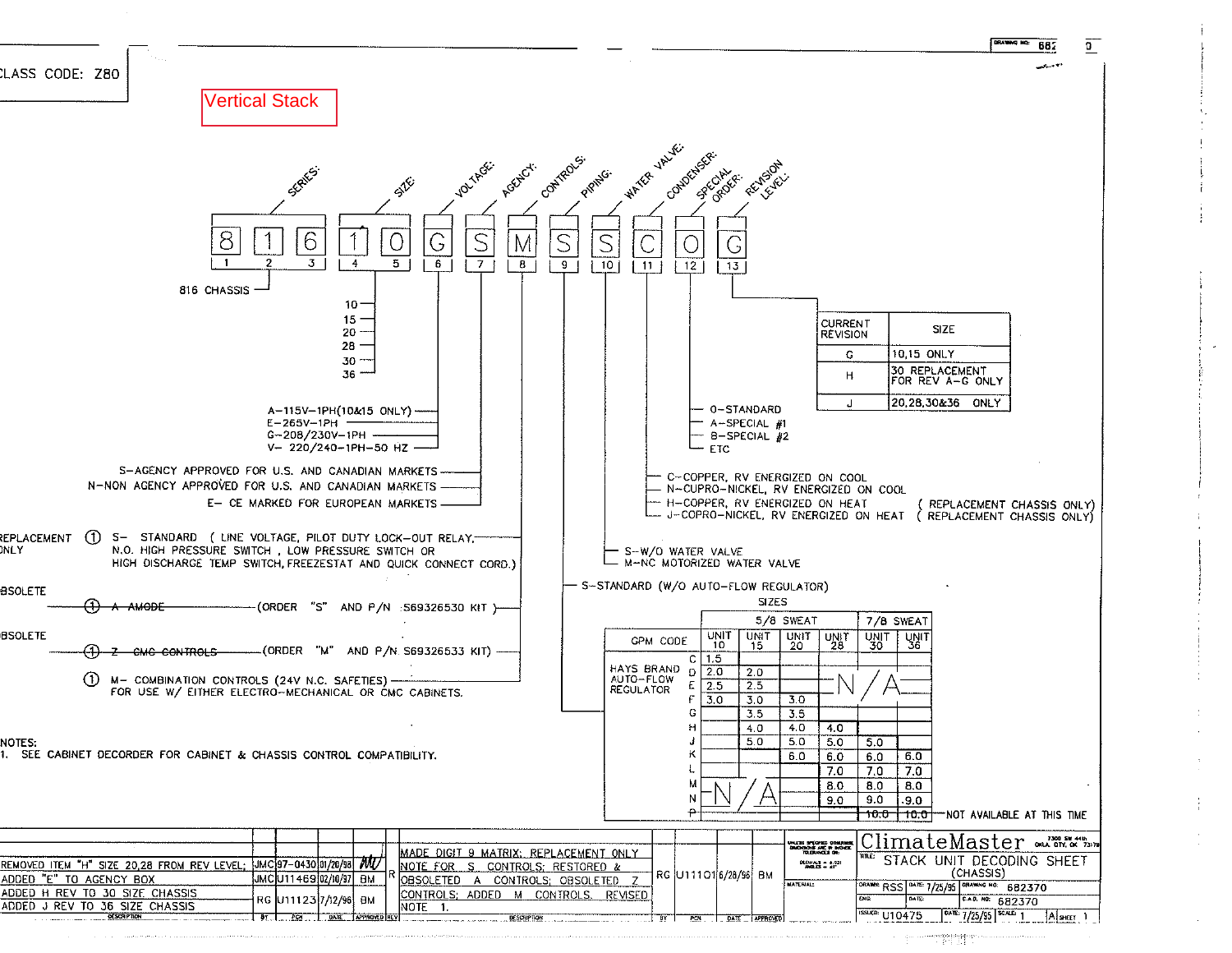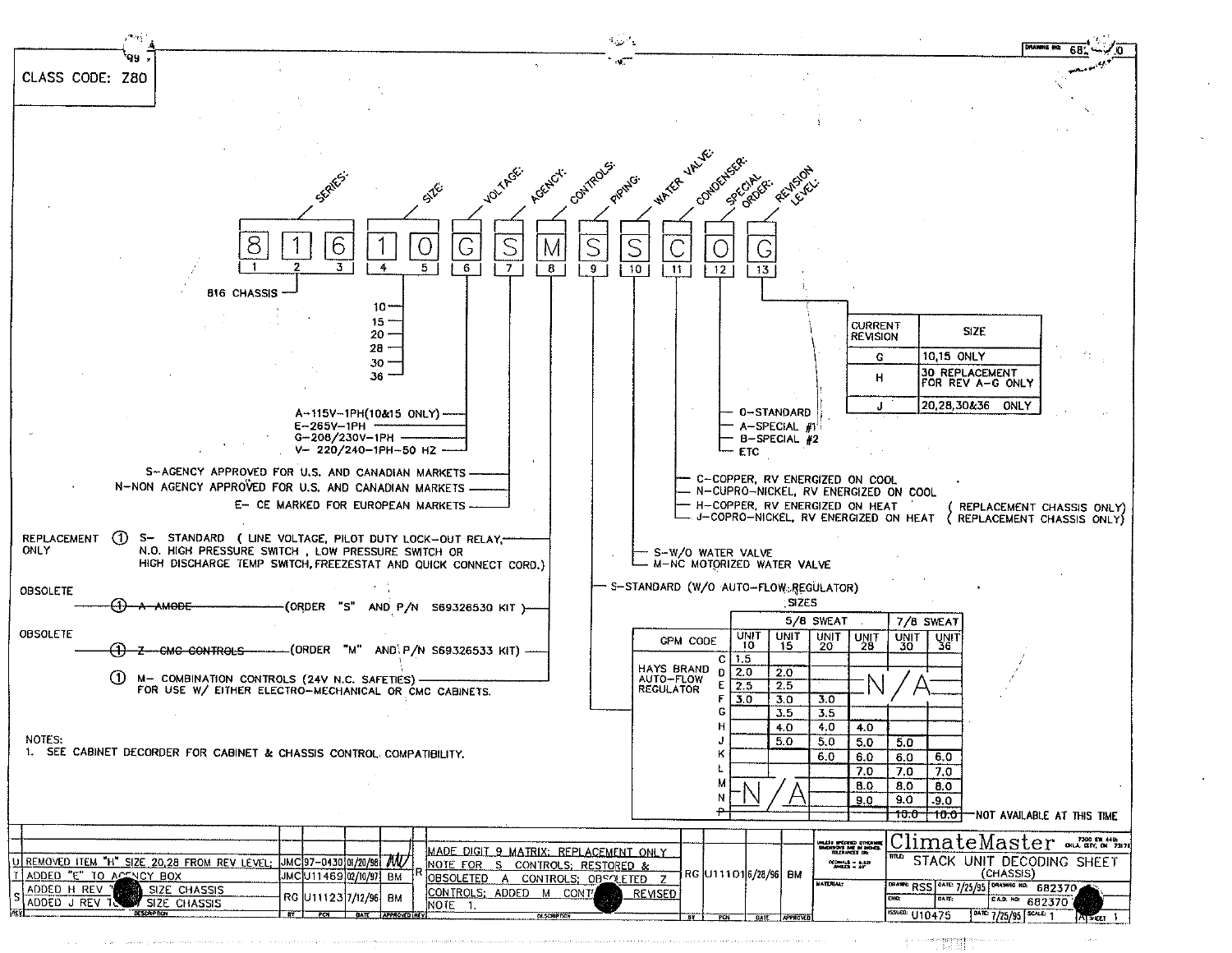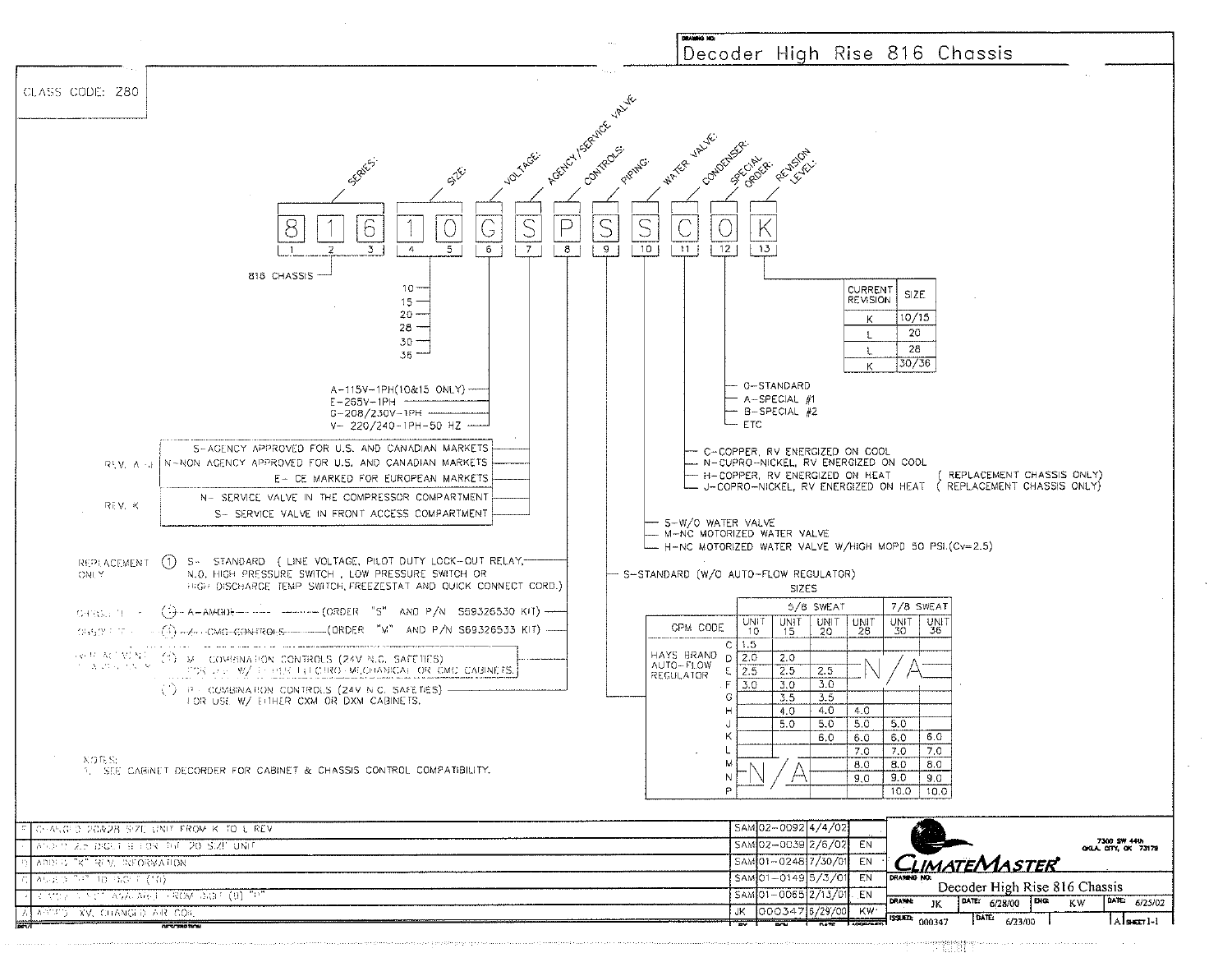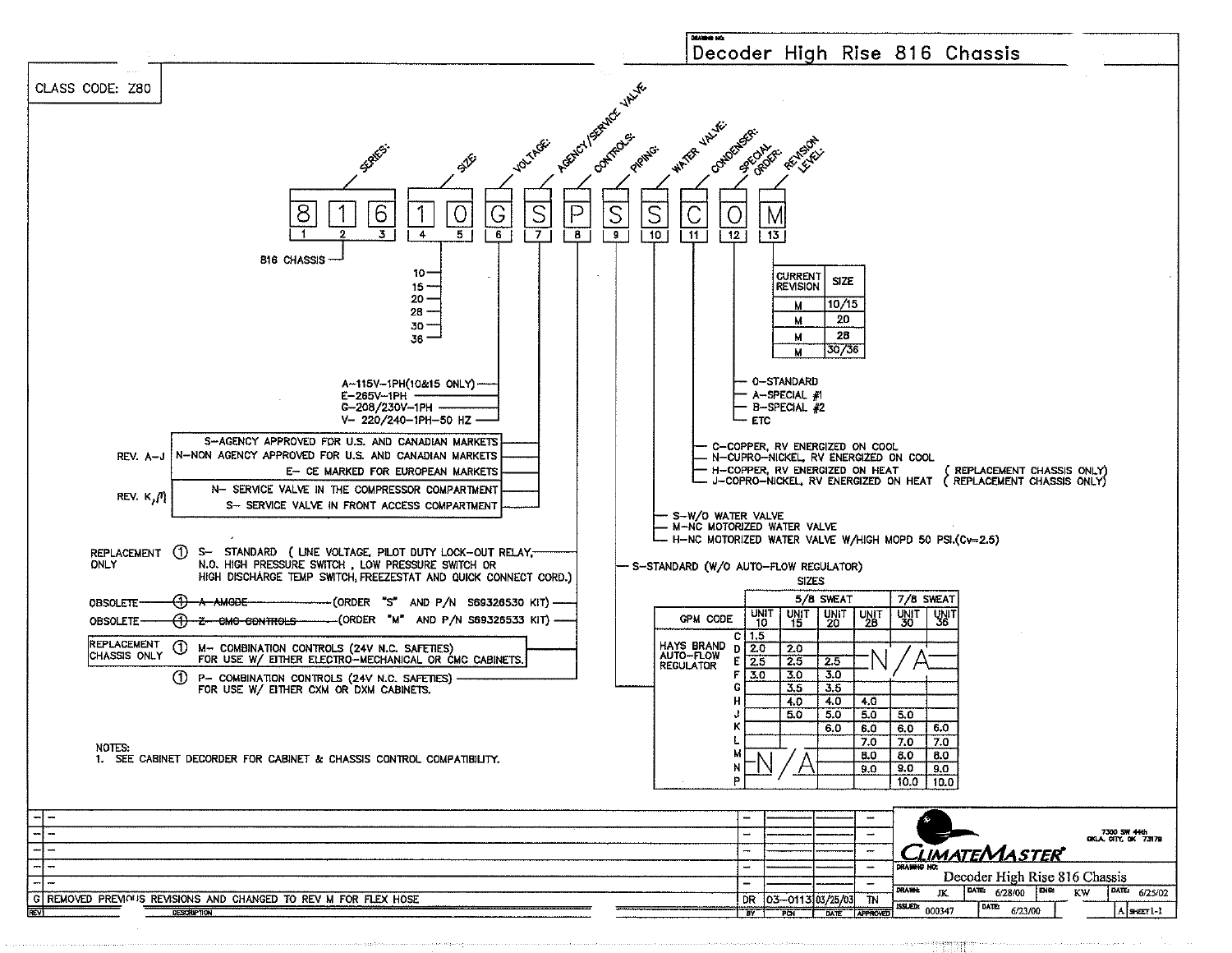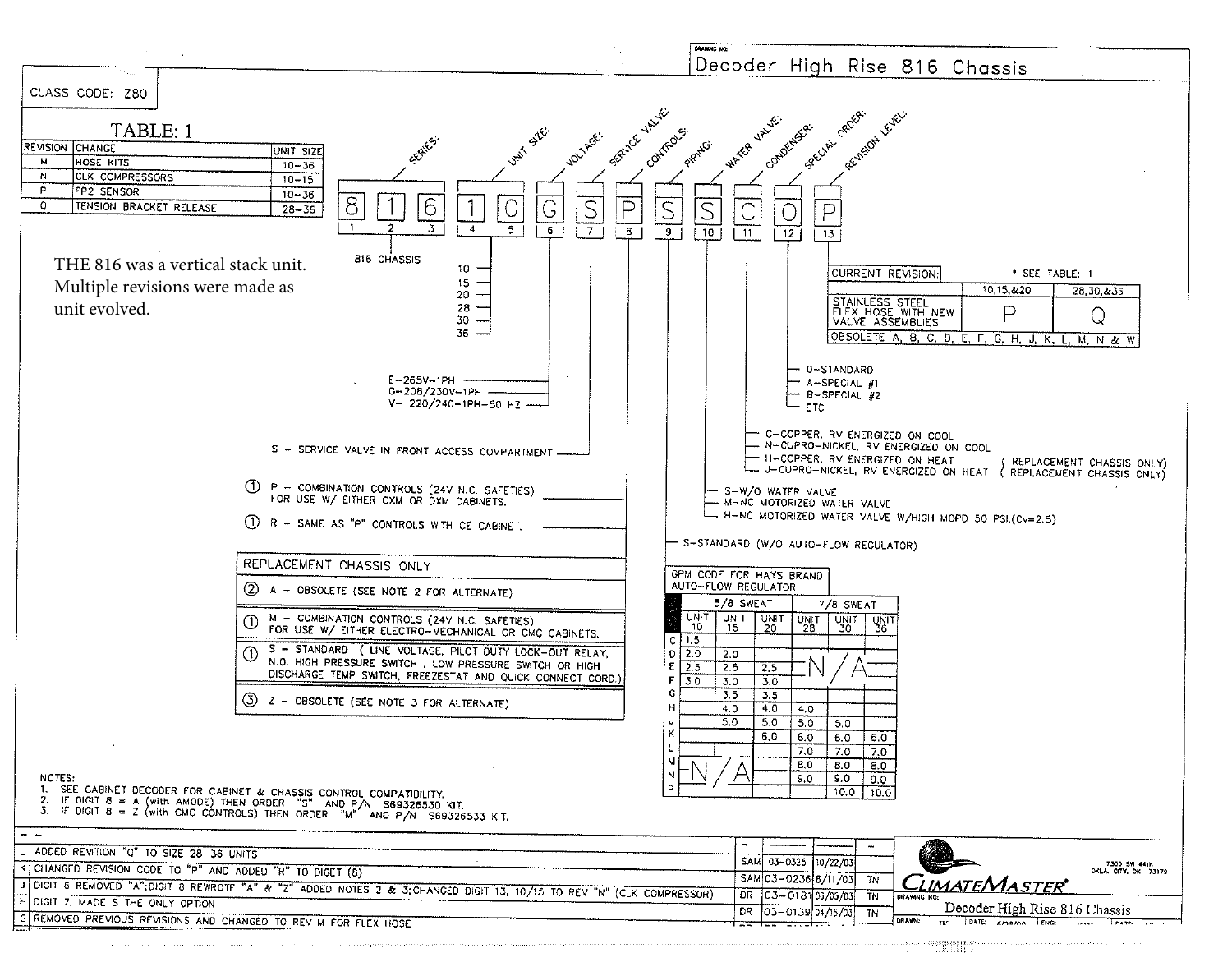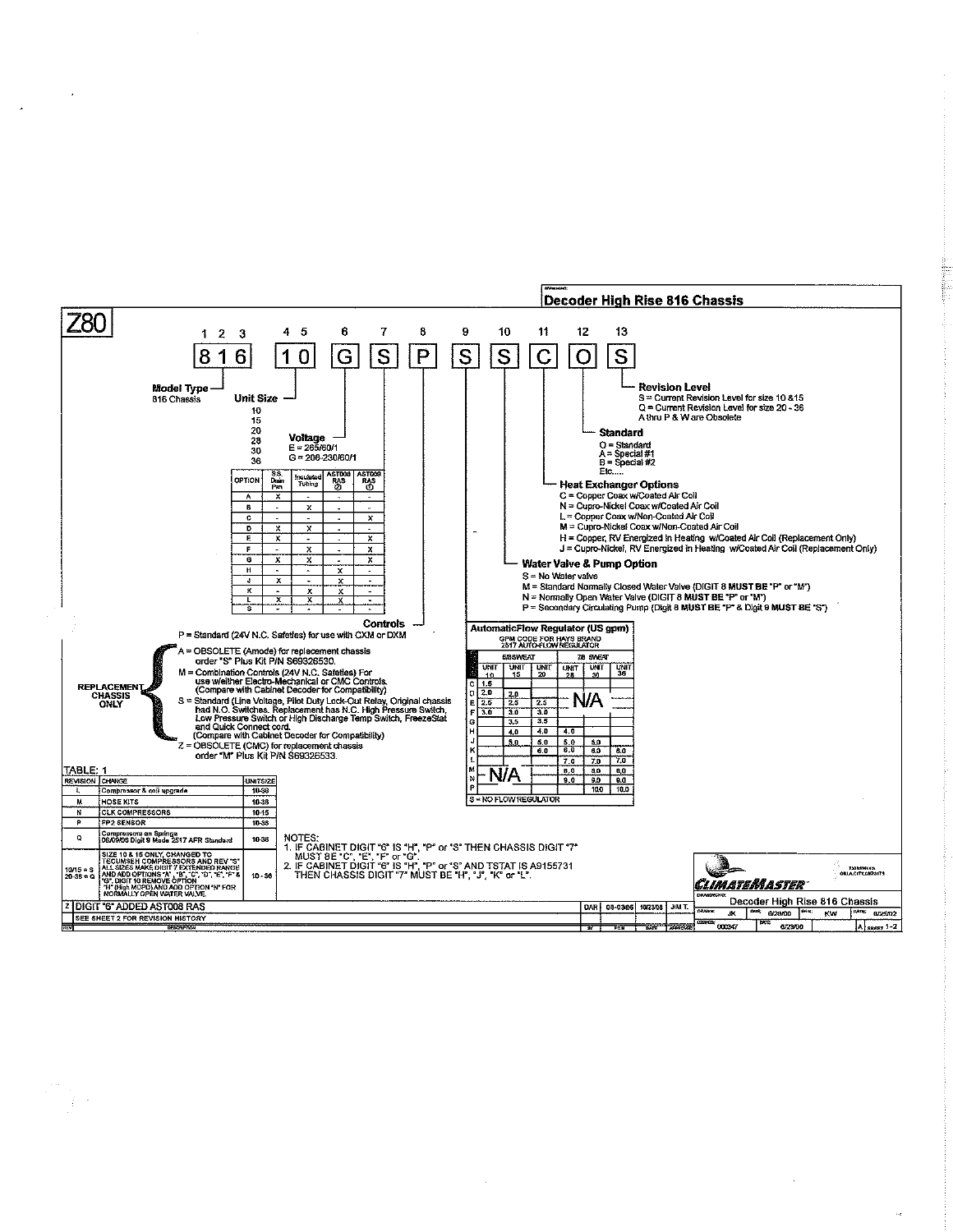

 $\label{eq:2} \begin{split} \mathcal{L}^{(0)}_{\text{max}}(\mathbf{r}) = \frac{1}{2} \mathcal{L}(\mathbf{r}) \end{split}$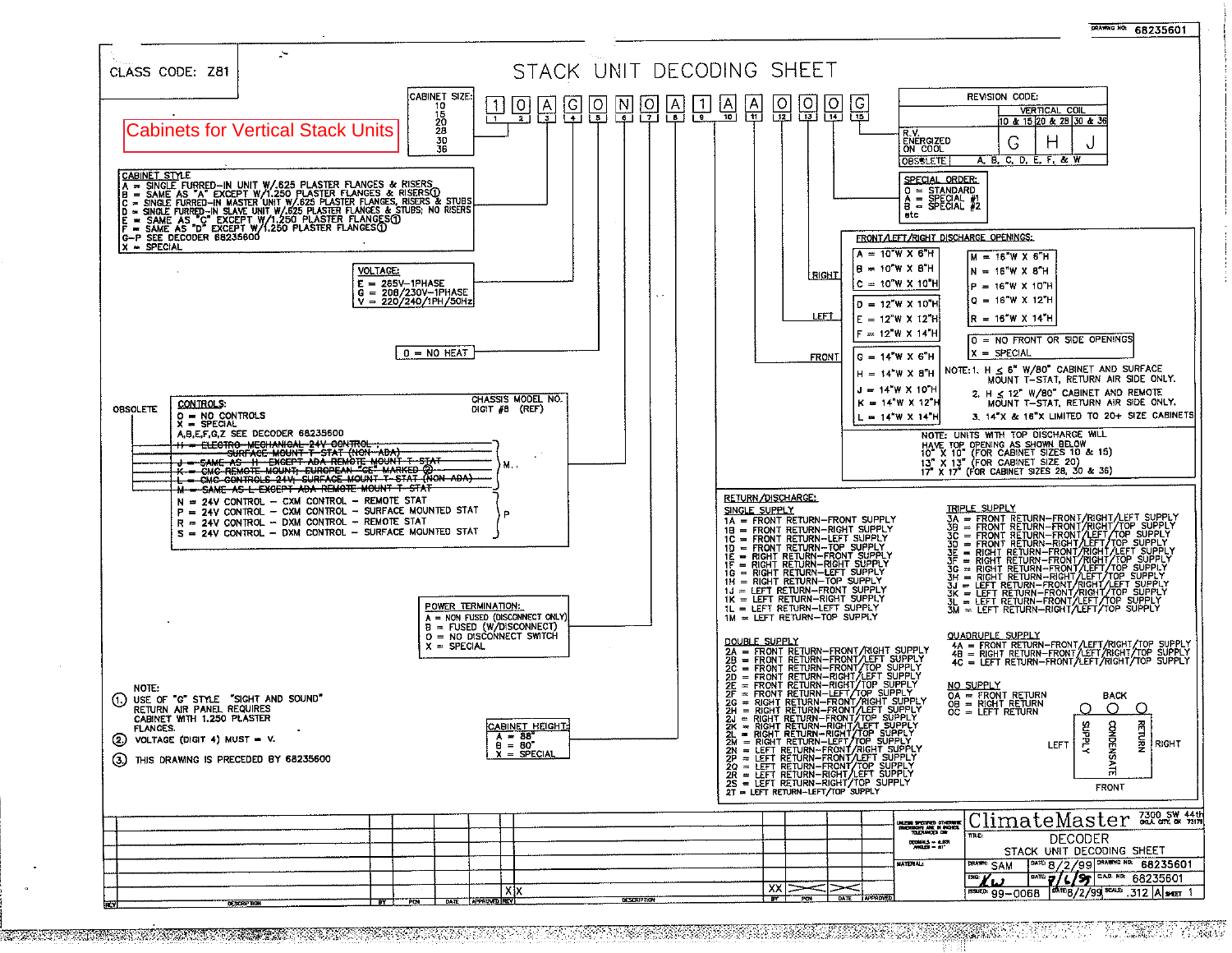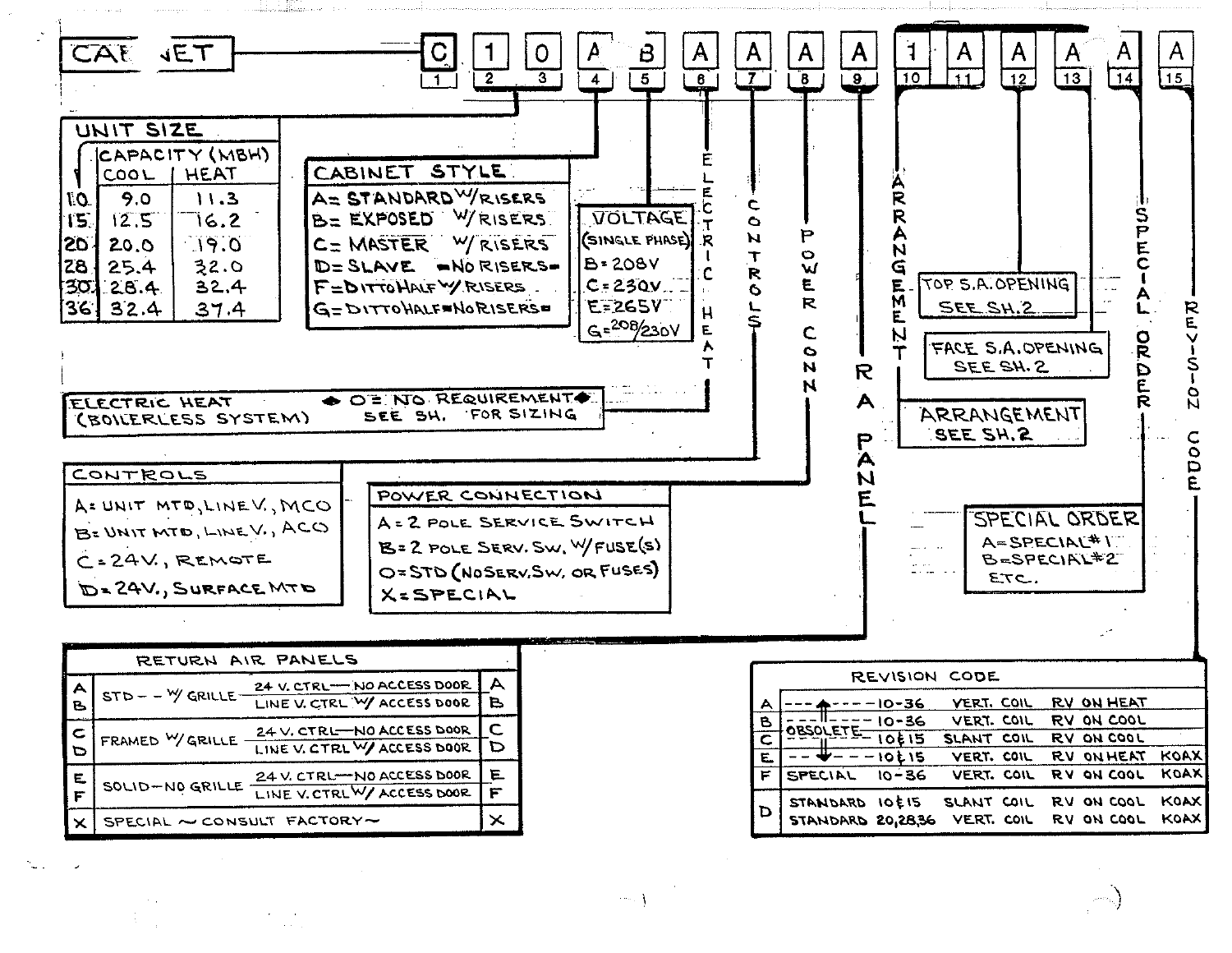

| B.      | --------                   | LINE V. CTRL WY ACCESS DOOR   B |   |  |
|---------|----------------------------|---------------------------------|---|--|
|         | FRAMED WGRILLE             | 24 V. CTRL-NO ACCESS DOOR       |   |  |
|         |                            | LINE V. CTRL W/ ACCESS DOOR     |   |  |
| E.<br>Ë | SOLID-NO GRILLE            | 24 V. CTRL-NO ACCESS DOOR       |   |  |
|         |                            | LINE V. CTRLW/ ACCESS DOOR      | F |  |
|         | SPECIAL ~ CONSULT FACTORY~ |                                 |   |  |

| REVISION COUL |                                            |             |                          |  |  |                                 |                     |  |  |
|---------------|--------------------------------------------|-------------|--------------------------|--|--|---------------------------------|---------------------|--|--|
| A             |                                            | -10-36      | <b>VERT, COIL</b>        |  |  | RV ON HEAT                      |                     |  |  |
| $\mathbf{B}$  |                                            | $10 - 36$   | VERT. COIL               |  |  | RV ON COOL                      |                     |  |  |
| て             | <b>OBSOLETE</b>                            | 10215       | SLANT COIL               |  |  | RV ON COOL                      |                     |  |  |
| 二             |                                            | $- - 10E15$ | VERT. COIL               |  |  | RV ON HEAT                      | KOAXI               |  |  |
| F             | SPECIAL                                    | $10 - 36$   | VERT. COIL               |  |  | RV ON COOL                      | <b>KOAX</b>         |  |  |
| D             | STANDARD 10E15<br><b>STANDARD 20,28,36</b> |             | SLANT COIL<br>VERT. COIL |  |  | <b>RV ON COOL</b><br>RV ON COOL | <b>KOAX</b><br>KOAX |  |  |